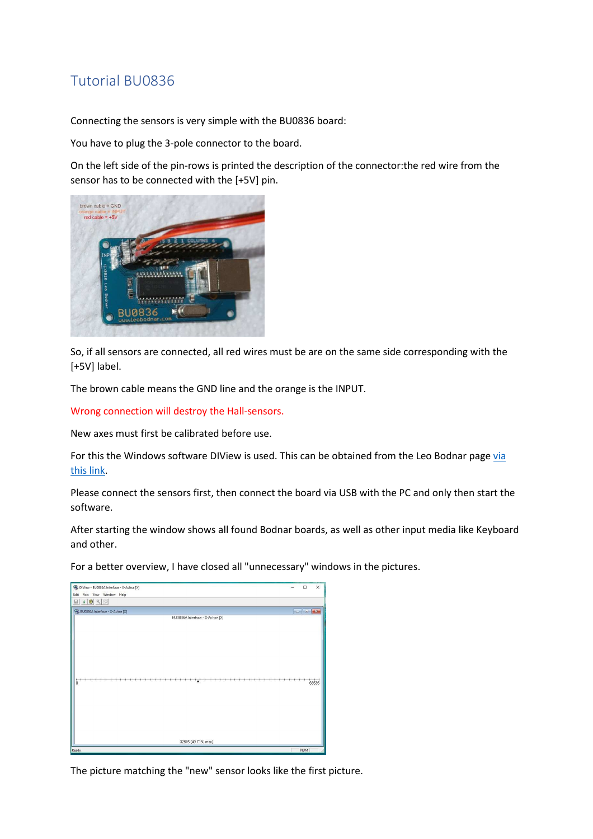## Tutorial BU0836

Connecting the sensors is very simple with the BU0836 board:

You have to plug the 3-pole connector to the board.

On the left side of the pin-rows is printed the description of the connector:the red wire from the sensor has to be connected with the [+5V] pin.



So, if all sensors are connected, all red wires must be are on the same side corresponding with the [+5V] label.

The brown cable means the GND line and the orange is the INPUT.

Wrong connection will destroy the Hall-sensors.

New axes must first be calibrated before use.

For this the Windows software DIView is used. This can be obtained from the Leo Bodnar page via this link.

Please connect the sensors first, then connect the board via USB with the PC and only then start the software.

After starting the window shows all found Bodnar boards, as well as other input media like Keyboard and other.

For a better overview, I have closed all "unnecessary" windows in the pictures.

| DIView - BU0836A Interface - X-Achse [X]<br>Edit Axis View Window Help | $\Box$                                            | $\times$ |
|------------------------------------------------------------------------|---------------------------------------------------|----------|
| $\bullet$ 8 9 5<br>⊟                                                   |                                                   |          |
| & BU0836A Interface - X-Achse [X]                                      | $\boxed{\circ}$ $\boxed{\circ}$ $\boxed{\bullet}$ |          |
| BU0836A Interface - X-Achse [X]<br>$\overline{\mathbf{0}}$             |                                                   | 65535    |
| 32575 (49.71% max)                                                     |                                                   |          |
| Ready                                                                  | <b>NUM</b>                                        |          |

The picture matching the "new" sensor looks like the first picture.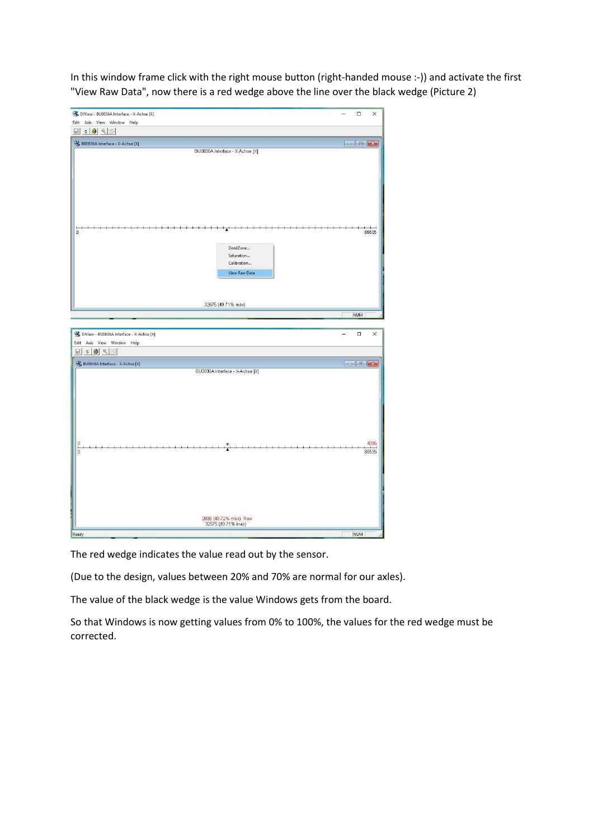In this window frame click with the right mouse button (right-handed mouse :-)) and activate the first "View Raw Data", now there is a red wedge above the line over the black wedge (Picture 2)

| DIView - BU0836A Interface - X-Achse [X]                               |                                                        | $\Box$<br>X                                                                                                                                                                                                                                                                                                                                                                                                                                                |
|------------------------------------------------------------------------|--------------------------------------------------------|------------------------------------------------------------------------------------------------------------------------------------------------------------------------------------------------------------------------------------------------------------------------------------------------------------------------------------------------------------------------------------------------------------------------------------------------------------|
| Edit Axis View Window Help                                             |                                                        |                                                                                                                                                                                                                                                                                                                                                                                                                                                            |
| $\bullet$ 3 4 5<br>$\Box$                                              |                                                        |                                                                                                                                                                                                                                                                                                                                                                                                                                                            |
| St. BU0836A Interface - X-Achse [X]                                    | BU0836A Interface - X-Achse [X]                        | $\begin{array}{ c c c c c }\hline \multicolumn{3}{ c }{\mathbf{c}} & \multicolumn{3}{ c }{\mathbf{x}}\\ \hline \multicolumn{3}{ c }{\mathbf{c}} & \multicolumn{3}{ c }{\mathbf{x}}\\ \hline \multicolumn{3}{ c }{\mathbf{c}} & \multicolumn{3}{ c }{\mathbf{x}}\\ \hline \multicolumn{3}{ c }{\mathbf{c}} & \multicolumn{3}{ c }{\mathbf{x}}\\ \hline \multicolumn{3}{ c }{\mathbf{x}} & \multicolumn{3}{ c }{\mathbf{x}}\\ \hline \multicolumn{3}{ c }{\$ |
| $\mathbf 0$                                                            | DeadZone<br>Saturation<br>Calibration<br>View Raw Data | 65535                                                                                                                                                                                                                                                                                                                                                                                                                                                      |
|                                                                        | 32575 (49.71% max)                                     |                                                                                                                                                                                                                                                                                                                                                                                                                                                            |
|                                                                        |                                                        | <b>NUM</b>                                                                                                                                                                                                                                                                                                                                                                                                                                                 |
|                                                                        |                                                        | -                                                                                                                                                                                                                                                                                                                                                                                                                                                          |
| DIView - BU0836A Interface - X-Achse [X]<br>Edit Axis View Window Help |                                                        | $\Box$<br>$\times$                                                                                                                                                                                                                                                                                                                                                                                                                                         |
| 日:94图                                                                  |                                                        |                                                                                                                                                                                                                                                                                                                                                                                                                                                            |
| & BU0836A Interface - X-Achse [X]                                      |                                                        |                                                                                                                                                                                                                                                                                                                                                                                                                                                            |
| 0<br>$\frac{1}{0}$                                                     | BU0836A Interface - X-Achse [X]                        | 4095<br>65535                                                                                                                                                                                                                                                                                                                                                                                                                                              |
|                                                                        | 2036 (49.72% max) Raw<br>32575 (49.71% max)            |                                                                                                                                                                                                                                                                                                                                                                                                                                                            |

The red wedge indicates the value read out by the sensor.

(Due to the design, values between 20% and 70% are normal for our axles).

The value of the black wedge is the value Windows gets from the board.

So that Windows is now getting values from 0% to 100%, the values for the red wedge must be corrected.